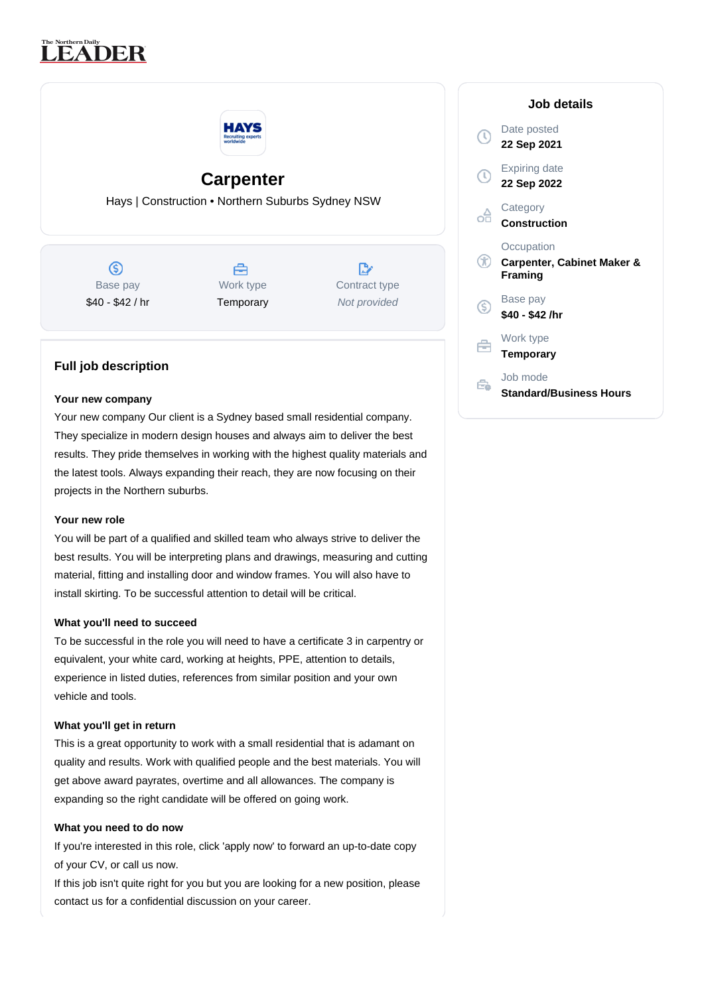# **LEADER**



## **Carpenter**

Hays | Construction • Northern Suburbs Sydney NSW

 $\circledS$ Base pay \$40 - \$42 / hr



 $\mathbb{R}^{\circ}$ Contract type Not provided

### **Full job description**

#### **Your new company**

Your new company Our client is a Sydney based small residential company. They specialize in modern design houses and always aim to deliver the best results. They pride themselves in working with the highest quality materials and the latest tools. Always expanding their reach, they are now focusing on their projects in the Northern suburbs.

#### **Your new role**

You will be part of a qualified and skilled team who always strive to deliver the best results. You will be interpreting plans and drawings, measuring and cutting material, fitting and installing door and window frames. You will also have to install skirting. To be successful attention to detail will be critical.

#### **What you'll need to succeed**

To be successful in the role you will need to have a certificate 3 in carpentry or equivalent, your white card, working at heights, PPE, attention to details, experience in listed duties, references from similar position and your own vehicle and tools.

#### **What you'll get in return**

This is a great opportunity to work with a small residential that is adamant on quality and results. Work with qualified people and the best materials. You will get above award payrates, overtime and all allowances. The company is expanding so the right candidate will be offered on going work.

#### **What you need to do now**

If you're interested in this role, click 'apply now' to forward an up-to-date copy of your CV, or call us now.

If this job isn't quite right for you but you are looking for a new position, please contact us for a confidential discussion on your career.

| Job details                                                    |
|----------------------------------------------------------------|
| Date posted<br>22 Sep 2021                                     |
| Expiring date<br>22 Sep 2022                                   |
| Category<br><b>Construction</b>                                |
| Occupation<br><b>Carpenter, Cabinet Maker &amp;</b><br>Framing |
| Base pay<br>\$40 - \$42 /hr                                    |
| Work type<br>Temporary                                         |
| Job mode<br>Standard/Business Hours                            |